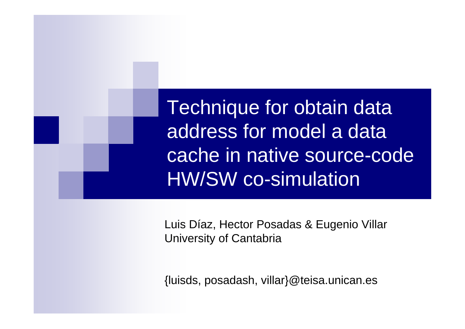Technique for obtain data address for model a data cache in native source-code HW/SW co-simulation

Luis Díaz, Hector Posadas & Eugenio Villar University of Cantabria

{luisds, posadash, villar}@teisa.unican.es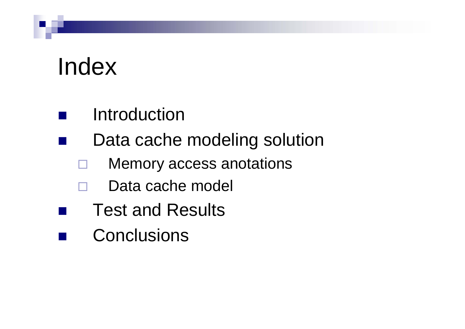# Index

 $\mathcal{L}_{\mathcal{A}}$ 

- $\mathcal{L}_{\mathcal{A}}$ Introduction
- $\mathcal{L}(\mathcal{L})$  Data cache modeling solution
	- $\Box$ Memory access anotations
	- $\Box$  Data cache model
		- Test and Results
- Conclusions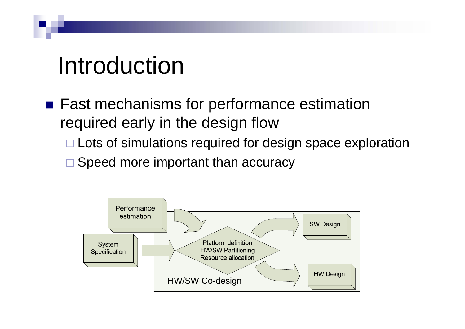# Introduction

- Fast mechanisms for performance estimation required early in the design flow
	- □ Lots of simulations required for design space exploration
	- □ Speed more important than accuracy

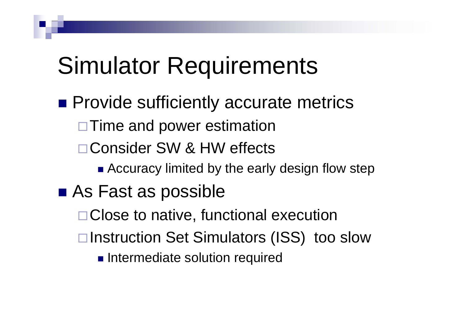# Simulator Requirements

- **Provide sufficiently accurate metrics** □ Time and power estimation □ Consider SW & HW effects
	- - **Accuracy limited by the early design flow step**
- As Fast as possible
	- □ Close to native, functional execution
	- **□Instruction Set Simulators (ISS) too slow** 
		- **Intermediate solution required**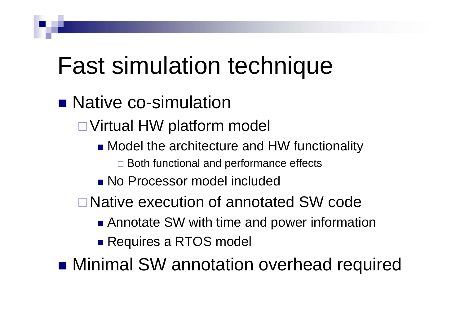# Fast simulation technique

**Native co-simulation** 

Virtual HW platform model

- **Model the architecture and HW functionality**  $\Box$  Both functional and performance effects
- No Processor model included
- Native execution of annotated SW code
	- **Annotate SW with time and power information**
	- Requires a RTOS model

**n** Minimal SW annotation overhead required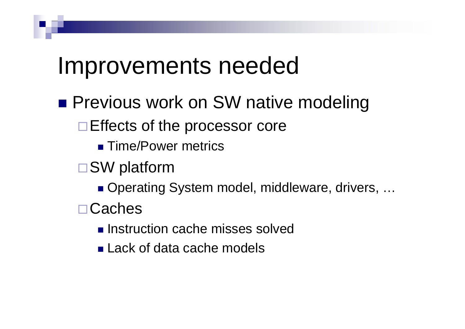#### Improvements needed

- **Previous work on SW native modeling** 
	- $\Box$  Effects of the processor core
		- **Time/Power metrics**
	- SW platform
		- Operating System model, middleware, drivers, ...
	- Caches
		- **Instruction cache misses solved**
		- **Lack of data cache models**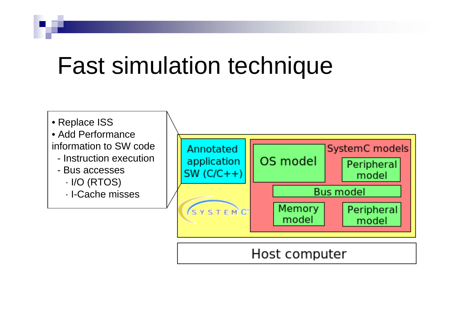# Fast simulation technique



#### Host computer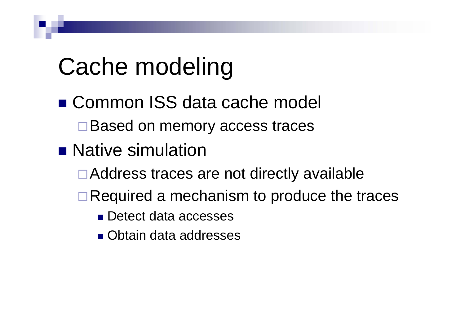# Cache modeling

- Common ISS data cache model **□Based on memory access traces**
- **Native simulation** 
	- Address traces are not directly available
	- $\Box$  Required a mechanism to produce the traces
		- Detect data accesses
		- **Obtain data addresses**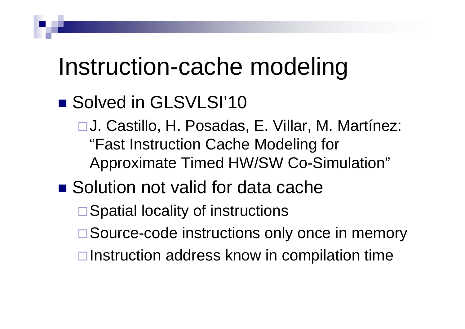# Instruction-cache modeling

#### ■ Solved in GLSVLSI'10

□ J. Castillo, H. Posadas, E. Villar, M. Martínez: "Fast Instruction Cache Modeling for Approximate Timed HW/SW Co-Simulation"

#### ■ Solution not valid for data cache

**□ Spatial locality of instructions** 

- □ Source-code instructions only once in memory
- $\Box$  Instruction address know in compilation time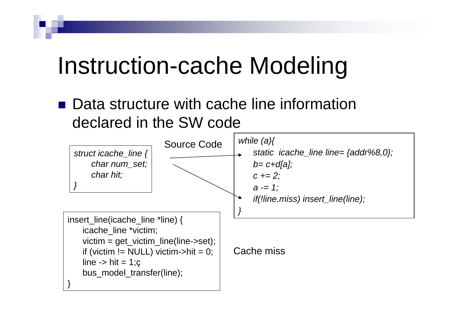# Instruction-cache Modeling

■ Data structure with cache line information declared in the SW code

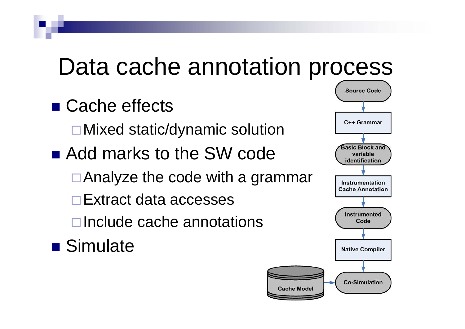# Data cache annotation process

- Cache effects
	- Mixed static/dynamic solution
- Add marks to the SW code
	- Analyze the code with a grammar
	- **□ Extract data accesses**
	- $\Box$ Include cache annotations
- **Simulate**

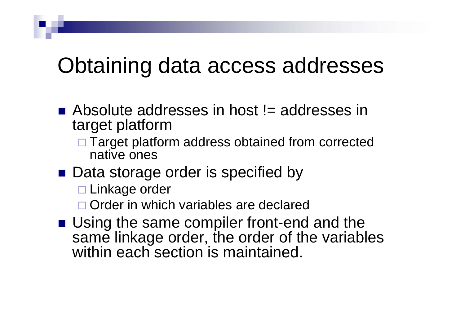#### Obtaining data access addresses

- $\blacksquare$  Absolute addresses in host  $!=$  addresses in target platform
	- □ Target platform address obtained from corrected native ones
- Data storage order is specified by
	- □ Linkage order
	- □ Order in which variables are declared
- **Using the same compiler front-end and the** same linkage order, the order of the variables within each section is maintained.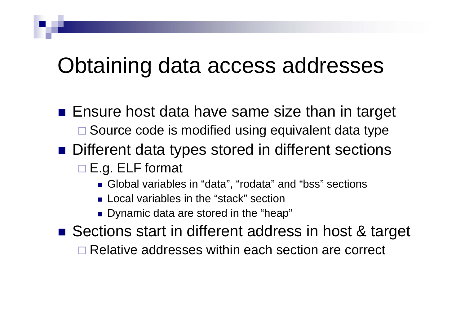#### Obtaining data access addresses

- $\blacksquare$  Ensure host data have same size than in target □ Source code is modified using equivalent data type
- Different data types stored in different sections
	- □ E.g. ELF format
		- Global variables in "data", "rodata" and "bss" sections
		- **Local variables in the "stack" section**
		- Dynamic data are stored in the "heap"
- Sections start in different address in host & target
	- □ Relative addresses within each section are correct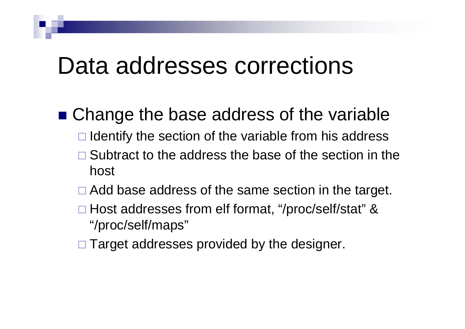#### Data addresses corrections

- Change the base address of the variable
	- $\Box$  Identify the section of the variable from his address
	- $\Box$  Subtract to the address the base of the section in the host
	- □ Add base address of the same section in the target.
	- □ Host addresses from elf format, "/proc/self/stat" & "/proc/self/maps"
	- $\Box$  Target addresses provided by the designer.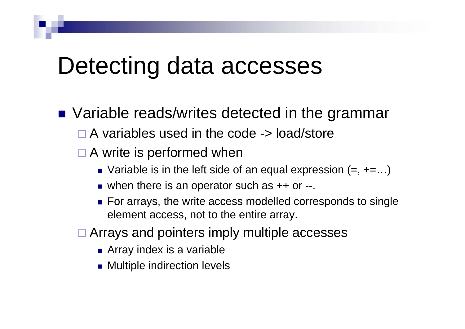#### Detecting data accesses

■ Variable reads/writes detected in the grammar  $\Box$  A variables used in the code -> load/store

#### □ A write is performed when

- $\blacksquare$  Variable is in the left side of an equal expression  $(=, +=...)$
- when there is an operator such as ++ or --.
- For arrays, the write access modelled corresponds to single element access, not to the entire array.
- □ Arrays and pointers imply multiple accesses
	- **Array index is a variable**
	- Multiple indirection levels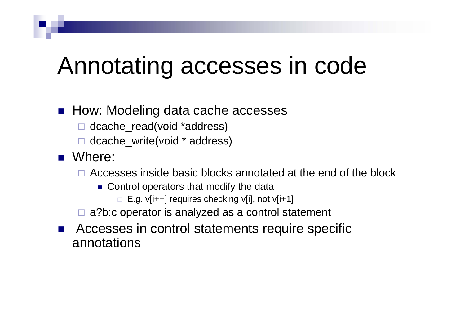# Annotating accesses in code

#### ■ How: Modeling data cache accesses

- □ dcache\_read(void \*address)
- □ dcache\_write(void \* address)
- Where:
	- □ Accesses inside basic blocks annotated at the end of the block
		- **Control operators that modify the data** 
			- □ E.g. v[i++] requires checking v[i], not v[i+1]
	- □ a?b:c operator is analyzed as a control statement
- $\mathbb{R}^2$  Accesses in control statements require specific annotations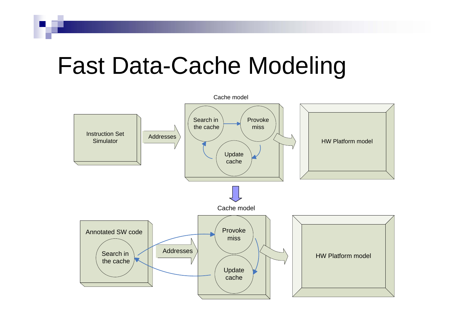# Fast Data-Cache Modeling

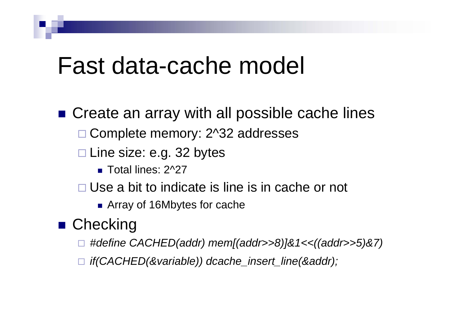#### Fast data-cache model

■ Create an array with all possible cache lines □ Complete memory: 2^32 addresses □ Line size: e.g. 32 bytes ■ Total lines: 2^27

□ Use a bit to indicate is line is in cache or not

**Array of 16Mbytes for cache** 

#### ■ Checking

- □ *#define CACHED(addr) mem[(addr>>8)]&1<<((addr>>5)&7)*
- *if(CACHED(&variable)) dcache\_insert\_line(&addr);*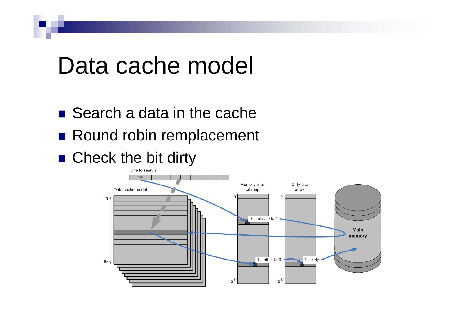#### Data cache model

- Search a data in the cache
- Round robin remplacement
- Check the bit dirty

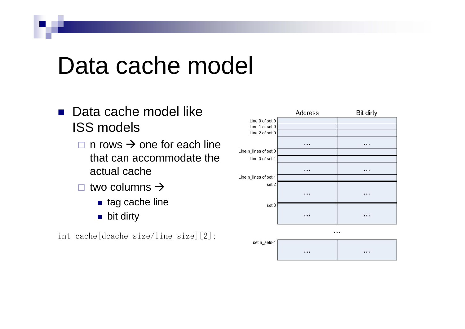# Data cache model

- Data cache model like ISS models
	- $\square$  n rows  $\rightarrow$  one for each line that can accommodate the actual cache
	- $\Box$  two columns  $\rightarrow$ 
		- tag cache line
		- bit dirty

int cache[dcache\_size/line\_size][2];

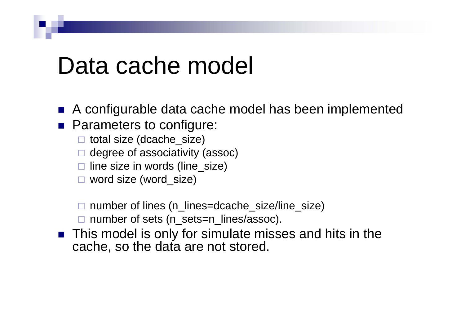#### Data cache model

 $\mathbb{R}^2$ A configurable data cache model has been implemented

- **Parameters to configure:** 
	- total size (dcache\_size)
	- $\square$  degree of associativity (assoc)
	- $\square$  line size in words (line\_size)
	- word size (word\_size)

□ number of lines (n\_lines=dcache\_size/line\_size)

□ number of sets (n\_sets=n\_lines/assoc).

■ This model is only for simulate misses and hits in the cache, so the data are not stored.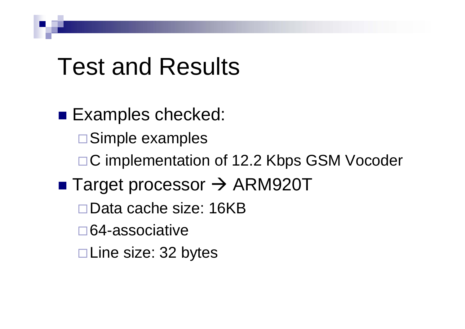### Test and Results

■ Examples checked: Simple examples □C implementation of 12.2 Kbps GSM Vocoder ■ Target processor → ARM920T Data cache size: 16KB64-associativeLine size: 32 bytes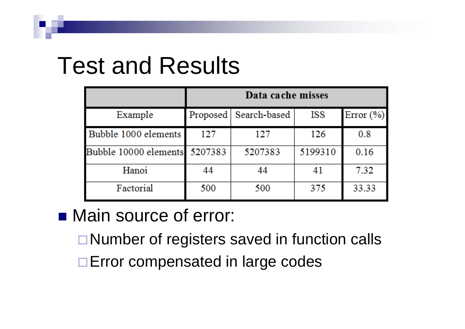# Test and Results

|                               | Data cache misses |              |         |               |  |  |  |
|-------------------------------|-------------------|--------------|---------|---------------|--|--|--|
| Example                       | Proposed          | Search-based | ISS     | Error $(\% )$ |  |  |  |
| Bubble 1000 elements          | 127               | 127          | 126     | 0.8           |  |  |  |
| Bubble 10000 elements 5207383 |                   | 5207383      | 5199310 | 0.16          |  |  |  |
| Hanoi                         | 44                | 44           | 41      | 7.32          |  |  |  |
| Factorial                     | 500               | 500          | 375     | 33.33         |  |  |  |

#### ■ Main source of error:

- □ Number of registers saved in function calls
- □ Error compensated in large codes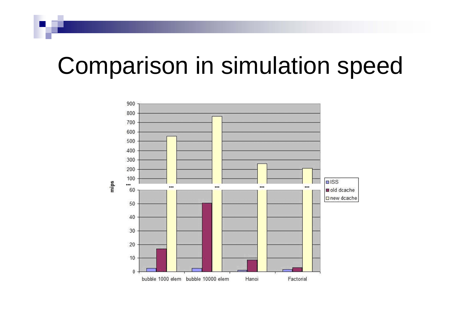# Comparison in simulation speed

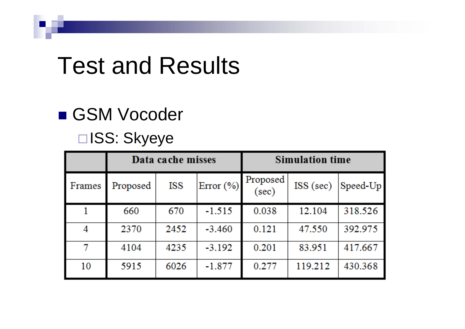# Test and Results

#### ■ GSM Vocoder

#### □ISS: Skyeye

|        | Data cache misses |      |           | <b>Simulation time</b> |             |            |
|--------|-------------------|------|-----------|------------------------|-------------|------------|
| Frames | Proposed          | ISS  | Error (%) | Proposed<br>(sec)      | $ISS$ (sec) | $Speed-Up$ |
|        | 660               | 670  | $-1.515$  | 0.038                  | 12.104      | 318.526    |
|        | 2370              | 2452 | $-3.460$  | 0.121                  | 47.550      | 392.975    |
|        | 4104              | 4235 | $-3.192$  | 0.201                  | 83.951      | 417.667    |
| 10     | 5915              | 6026 | $-1.877$  | 0.277                  | 119.212     | 430.368    |